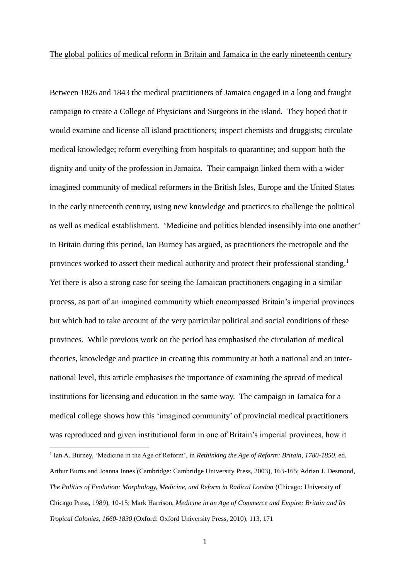Between 1826 and 1843 the medical practitioners of Jamaica engaged in a long and fraught campaign to create a College of Physicians and Surgeons in the island. They hoped that it would examine and license all island practitioners; inspect chemists and druggists; circulate medical knowledge; reform everything from hospitals to quarantine; and support both the dignity and unity of the profession in Jamaica. Their campaign linked them with a wider imagined community of medical reformers in the British Isles, Europe and the United States in the early nineteenth century, using new knowledge and practices to challenge the political as well as medical establishment. 'Medicine and politics blended insensibly into one another' in Britain during this period, Ian Burney has argued, as practitioners the metropole and the provinces worked to assert their medical authority and protect their professional standing.<sup>1</sup> Yet there is also a strong case for seeing the Jamaican practitioners engaging in a similar process, as part of an imagined community which encompassed Britain's imperial provinces but which had to take account of the very particular political and social conditions of these provinces. While previous work on the period has emphasised the circulation of medical theories, knowledge and practice in creating this community at both a national and an international level, this article emphasises the importance of examining the spread of medical institutions for licensing and education in the same way. The campaign in Jamaica for a medical college shows how this 'imagined community' of provincial medical practitioners was reproduced and given institutional form in one of Britain's imperial provinces, how it

<sup>&</sup>lt;sup>1</sup> Ian A. Burney, 'Medicine in the Age of Reform', in *Rethinking the Age of Reform: Britain, 1780-1850*, ed. Arthur Burns and Joanna Innes (Cambridge: Cambridge University Press, 2003), 163-165; Adrian J. Desmond, *The Politics of Evolution: Morphology, Medicine, and Reform in Radical London* (Chicago: University of Chicago Press, 1989), 10-15; Mark Harrison, *Medicine in an Age of Commerce and Empire: Britain and Its Tropical Colonies, 1660-1830* (Oxford: Oxford University Press, 2010), 113, 171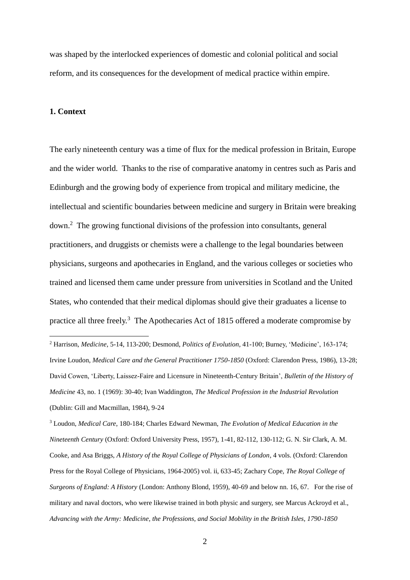was shaped by the interlocked experiences of domestic and colonial political and social reform, and its consequences for the development of medical practice within empire.

## **1. Context**

1

The early nineteenth century was a time of flux for the medical profession in Britain, Europe and the wider world. Thanks to the rise of comparative anatomy in centres such as Paris and Edinburgh and the growing body of experience from tropical and military medicine, the intellectual and scientific boundaries between medicine and surgery in Britain were breaking down.<sup>2</sup> The growing functional divisions of the profession into consultants, general practitioners, and druggists or chemists were a challenge to the legal boundaries between physicians, surgeons and apothecaries in England, and the various colleges or societies who trained and licensed them came under pressure from universities in Scotland and the United States, who contended that their medical diplomas should give their graduates a license to practice all three freely.<sup>3</sup> The Apothecaries Act of 1815 offered a moderate compromise by

<sup>3</sup> Loudon, *Medical Care*, 180-184; Charles Edward Newman, *The Evolution of Medical Education in the Nineteenth Century* (Oxford: Oxford University Press, 1957), 1-41, 82-112, 130-112; G. N. Sir Clark, A. M. Cooke, and Asa Briggs, *A History of the Royal College of Physicians of London*, 4 vols. (Oxford: Clarendon Press for the Royal College of Physicians, 1964-2005) vol. ii, 633-45; Zachary Cope, *The Royal College of Surgeons of England: A History* (London: Anthony Blond, 1959), 40-69 and below nn. 16, 67. For the rise of military and naval doctors, who were likewise trained in both physic and surgery, see Marcus Ackroyd et al., *Advancing with the Army: Medicine, the Professions, and Social Mobility in the British Isles, 1790-1850*

<sup>2</sup> Harrison, *Medicine*, 5-14, 113-200; Desmond, *Politics of Evolution*, 41-100; Burney, 'Medicine', 163-174; Irvine Loudon, *Medical Care and the General Practitioner 1750-1850* (Oxford: Clarendon Press, 1986), 13-28; David Cowen, 'Liberty, Laissez-Faire and Licensure in Nineteenth-Century Britain', *Bulletin of the History of Medicine* 43, no. 1 (1969): 30-40; Ivan Waddington, *The Medical Profession in the Industrial Revolution* (Dublin: Gill and Macmillan, 1984), 9-24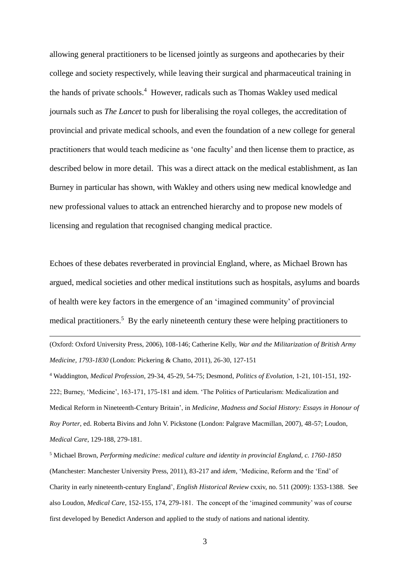allowing general practitioners to be licensed jointly as surgeons and apothecaries by their college and society respectively, while leaving their surgical and pharmaceutical training in the hands of private schools.<sup>4</sup> However, radicals such as Thomas Wakley used medical journals such as *The Lancet* to push for liberalising the royal colleges, the accreditation of provincial and private medical schools, and even the foundation of a new college for general practitioners that would teach medicine as 'one faculty' and then license them to practice, as described below in more detail. This was a direct attack on the medical establishment, as Ian Burney in particular has shown, with Wakley and others using new medical knowledge and new professional values to attack an entrenched hierarchy and to propose new models of licensing and regulation that recognised changing medical practice.

Echoes of these debates reverberated in provincial England, where, as Michael Brown has argued, medical societies and other medical institutions such as hospitals, asylums and boards of health were key factors in the emergence of an 'imagined community' of provincial medical practitioners.<sup>5</sup> By the early nineteenth century these were helping practitioners to

(Oxford: Oxford University Press, 2006), 108-146; Catherine Kelly, *War and the Militarization of British Army Medicine, 1793-1830* (London: Pickering & Chatto, 2011), 26-30, 127-151

1

<sup>4</sup> Waddington, *Medical Profession*, 29-34, 45-29, 54-75; Desmond, *Politics of Evolution*, 1-21, 101-151, 192- 222; Burney, 'Medicine', 163-171, 175-181 and idem. 'The Politics of Particularism: Medicalization and Medical Reform in Nineteenth-Century Britain', in *Medicine, Madness and Social History: Essays in Honour of Roy Porter*, ed. Roberta Bivins and John V. Pickstone (London: Palgrave Macmillan, 2007), 48-57; Loudon, *Medical Care*, 129-188, 279-181.

<sup>5</sup> Michael Brown, *Performing medicine: medical culture and identity in provincial England, c. 1760-1850* (Manchester: Manchester University Press, 2011), 83-217 and *idem*, 'Medicine, Reform and the 'End' of Charity in early nineteenth-century England', *English Historical Review* cxxiv, no. 511 (2009): 1353-1388. See also Loudon, *Medical Care*, 152-155, 174, 279-181. The concept of the 'imagined community' was of course first developed by Benedict Anderson and applied to the study of nations and national identity.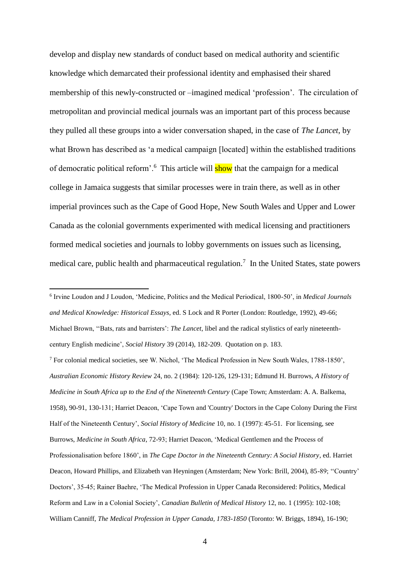develop and display new standards of conduct based on medical authority and scientific knowledge which demarcated their professional identity and emphasised their shared membership of this newly-constructed or –imagined medical 'profession'. The circulation of metropolitan and provincial medical journals was an important part of this process because they pulled all these groups into a wider conversation shaped, in the case of *The Lancet*, by what Brown has described as 'a medical campaign [located] within the established traditions of democratic political reform'.<sup>6</sup> This article will **show** that the campaign for a medical college in Jamaica suggests that similar processes were in train there, as well as in other imperial provinces such as the Cape of Good Hope, New South Wales and Upper and Lower Canada as the colonial governments experimented with medical licensing and practitioners formed medical societies and journals to lobby governments on issues such as licensing, medical care, public health and pharmaceutical regulation.<sup>7</sup> In the United States, state powers

<u>.</u>

<sup>7</sup> For colonial medical societies, see W. Nichol, 'The Medical Profession in New South Wales, 1788-1850', *Australian Economic History Review* 24, no. 2 (1984): 120-126, 129-131; Edmund H. Burrows, *A History of Medicine in South Africa up to the End of the Nineteenth Century* (Cape Town; Amsterdam: A. A. Balkema, 1958), 90-91, 130-131; Harriet Deacon, 'Cape Town and 'Country' Doctors in the Cape Colony During the First Half of the Nineteenth Century', *Social History of Medicine* 10, no. 1 (1997): 45-51. For licensing, see Burrows, *Medicine in South Africa*, 72-93; Harriet Deacon, 'Medical Gentlemen and the Process of Professionalisation before 1860', in *The Cape Doctor in the Nineteenth Century: A Social History*, ed. Harriet Deacon, Howard Phillips, and Elizabeth van Heyningen (Amsterdam; New York: Brill, 2004), 85-89; ''Country' Doctors', 35-45; Rainer Baehre, 'The Medical Profession in Upper Canada Reconsidered: Politics, Medical Reform and Law in a Colonial Society', *Canadian Bulletin of Medical History* 12, no. 1 (1995): 102-108; William Canniff, *The Medical Profession in Upper Canada, 1783-1850* (Toronto: W. Briggs, 1894), 16-190;

<sup>6</sup> Irvine Loudon and J Loudon, 'Medicine, Politics and the Medical Periodical, 1800-50', in *Medical Journals and Medical Knowledge: Historical Essays*, ed. S Lock and R Porter (London: Routledge, 1992), 49-66; Michael Brown, ''Bats, rats and barristers': *The Lancet*, libel and the radical stylistics of early nineteenthcentury English medicine', *Social History* 39 (2014), 182-209. Quotation on p. 183.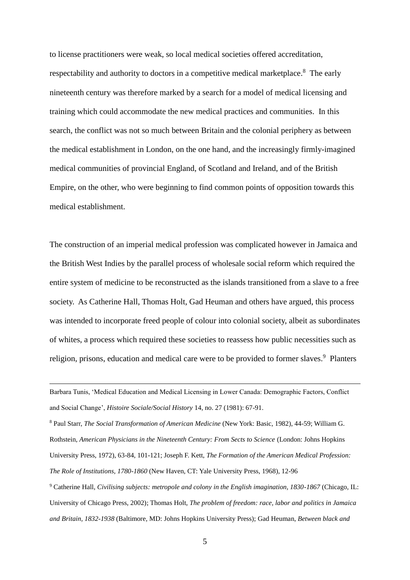to license practitioners were weak, so local medical societies offered accreditation, respectability and authority to doctors in a competitive medical marketplace.<sup>8</sup> The early nineteenth century was therefore marked by a search for a model of medical licensing and training which could accommodate the new medical practices and communities. In this search, the conflict was not so much between Britain and the colonial periphery as between the medical establishment in London, on the one hand, and the increasingly firmly-imagined medical communities of provincial England, of Scotland and Ireland, and of the British Empire, on the other, who were beginning to find common points of opposition towards this medical establishment.

The construction of an imperial medical profession was complicated however in Jamaica and the British West Indies by the parallel process of wholesale social reform which required the entire system of medicine to be reconstructed as the islands transitioned from a slave to a free society. As Catherine Hall, Thomas Holt, Gad Heuman and others have argued, this process was intended to incorporate freed people of colour into colonial society, albeit as subordinates of whites, a process which required these societies to reassess how public necessities such as religion, prisons, education and medical care were to be provided to former slaves.<sup>9</sup> Planters

1

<sup>8</sup> Paul Starr, *The Social Transformation of American Medicine* (New York: Basic, 1982), 44-59; William G. Rothstein, *American Physicians in the Nineteenth Century: From Sects to Science* (London: Johns Hopkins University Press, 1972), 63-84, 101-121; Joseph F. Kett, *The Formation of the American Medical Profession: The Role of Institutions, 1780-1860* (New Haven, CT: Yale University Press, 1968), 12-96

<sup>9</sup> Catherine Hall, *Civilising subjects: metropole and colony in the English imagination, 1830-1867* (Chicago, IL: University of Chicago Press, 2002); Thomas Holt, *The problem of freedom: race, labor and politics in Jamaica and Britain, 1832-1938* (Baltimore, MD: Johns Hopkins University Press); Gad Heuman, *Between black and* 

Barbara Tunis, 'Medical Education and Medical Licensing in Lower Canada: Demographic Factors, Conflict and Social Change', *Histoire Sociale/Social History* 14, no. 27 (1981): 67-91.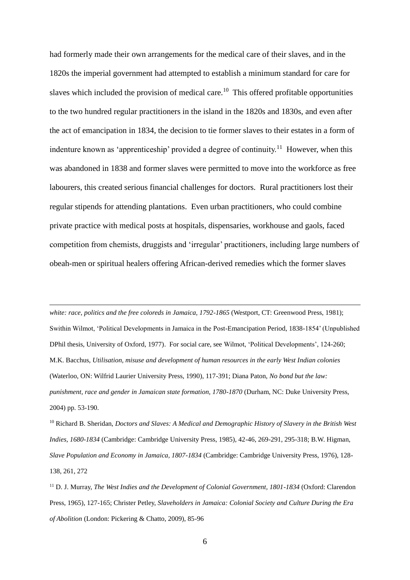had formerly made their own arrangements for the medical care of their slaves, and in the 1820s the imperial government had attempted to establish a minimum standard for care for slaves which included the provision of medical care.<sup>10</sup> This offered profitable opportunities to the two hundred regular practitioners in the island in the 1820s and 1830s, and even after the act of emancipation in 1834, the decision to tie former slaves to their estates in a form of indenture known as 'apprenticeship' provided a degree of continuity.<sup>11</sup> However, when this was abandoned in 1838 and former slaves were permitted to move into the workforce as free labourers, this created serious financial challenges for doctors. Rural practitioners lost their regular stipends for attending plantations. Even urban practitioners, who could combine private practice with medical posts at hospitals, dispensaries, workhouse and gaols, faced competition from chemists, druggists and 'irregular' practitioners, including large numbers of obeah-men or spiritual healers offering African-derived remedies which the former slaves

*white: race, politics and the free coloreds in Jamaica, 1792-1865* (Westport, CT: Greenwood Press, 1981); Swithin Wilmot, 'Political Developments in Jamaica in the Post-Emancipation Period, 1838-1854' (Unpublished DPhil thesis, University of Oxford, 1977). For social care, see Wilmot, 'Political Developments', 124-260; M.K. Bacchus, *Utilisation, misuse and development of human resources in the early West Indian colonies* (Waterloo, ON: Wilfrid Laurier University Press, 1990), 117-391; Diana Paton, *No bond but the law: punishment, race and gender in Jamaican state formation, 1780-1870* (Durham, NC: Duke University Press, 2004) pp. 53-190.

1

<sup>10</sup> Richard B. Sheridan, *Doctors and Slaves: A Medical and Demographic History of Slavery in the British West Indies, 1680-1834* (Cambridge: Cambridge University Press, 1985), 42-46, 269-291, 295-318; B.W. Higman, *Slave Population and Economy in Jamaica, 1807-1834* (Cambridge: Cambridge University Press, 1976), 128- 138, 261, 272

<sup>11</sup> D. J. Murray, *The West Indies and the Development of Colonial Government, 1801-1834* (Oxford: Clarendon Press, 1965), 127-165; Christer Petley, *Slaveholders in Jamaica: Colonial Society and Culture During the Era of Abolition* (London: Pickering & Chatto, 2009), 85-96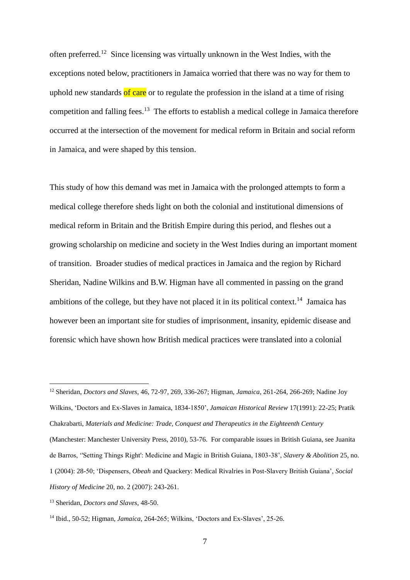often preferred.<sup>12</sup> Since licensing was virtually unknown in the West Indies, with the exceptions noted below, practitioners in Jamaica worried that there was no way for them to uphold new standards of care or to regulate the profession in the island at a time of rising competition and falling fees.<sup>13</sup> The efforts to establish a medical college in Jamaica therefore occurred at the intersection of the movement for medical reform in Britain and social reform in Jamaica, and were shaped by this tension.

This study of how this demand was met in Jamaica with the prolonged attempts to form a medical college therefore sheds light on both the colonial and institutional dimensions of medical reform in Britain and the British Empire during this period, and fleshes out a growing scholarship on medicine and society in the West Indies during an important moment of transition. Broader studies of medical practices in Jamaica and the region by Richard Sheridan, Nadine Wilkins and B.W. Higman have all commented in passing on the grand ambitions of the college, but they have not placed it in its political context.<sup>14</sup> Jamaica has however been an important site for studies of imprisonment, insanity, epidemic disease and forensic which have shown how British medical practices were translated into a colonial

<sup>12</sup> Sheridan, *Doctors and Slaves*, 46, 72-97, 269, 336-267; Higman, *Jamaica*, 261-264, 266-269; Nadine Joy Wilkins, 'Doctors and Ex-Slaves in Jamaica, 1834-1850', *Jamaican Historical Review* 17(1991): 22-25; Pratik Chakrabarti, *Materials and Medicine: Trade, Conquest and Therapeutics in the Eighteenth Century* (Manchester: Manchester University Press, 2010), 53-76. For comparable issues in British Guiana, see Juanita de Barros, ''Setting Things Right': Medicine and Magic in British Guiana, 1803-38', *Slavery & Abolition* 25, no. 1 (2004): 28-50; 'Dispensers, *Obeah* and Quackery: Medical Rivalries in Post-Slavery British Guiana', *Social History of Medicine* 20, no. 2 (2007): 243-261.

<sup>13</sup> Sheridan, *Doctors and Slaves*, 48-50.

<sup>14</sup> Ibid., 50-52; Higman, *Jamaica*, 264-265; Wilkins, 'Doctors and Ex-Slaves', 25-26.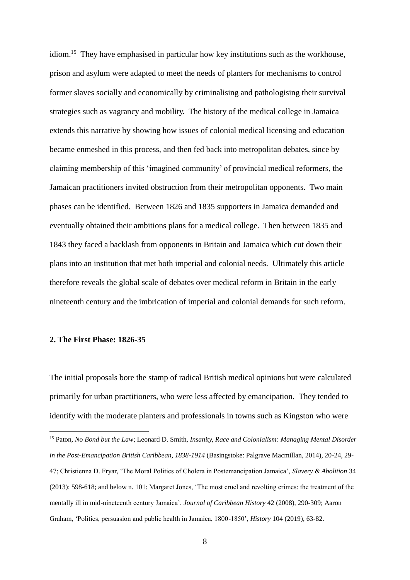idiom.<sup>15</sup> They have emphasised in particular how key institutions such as the workhouse, prison and asylum were adapted to meet the needs of planters for mechanisms to control former slaves socially and economically by criminalising and pathologising their survival strategies such as vagrancy and mobility. The history of the medical college in Jamaica extends this narrative by showing how issues of colonial medical licensing and education became enmeshed in this process, and then fed back into metropolitan debates, since by claiming membership of this 'imagined community' of provincial medical reformers, the Jamaican practitioners invited obstruction from their metropolitan opponents. Two main phases can be identified. Between 1826 and 1835 supporters in Jamaica demanded and eventually obtained their ambitions plans for a medical college. Then between 1835 and 1843 they faced a backlash from opponents in Britain and Jamaica which cut down their plans into an institution that met both imperial and colonial needs. Ultimately this article therefore reveals the global scale of debates over medical reform in Britain in the early nineteenth century and the imbrication of imperial and colonial demands for such reform.

## **2. The First Phase: 1826-35**

1

The initial proposals bore the stamp of radical British medical opinions but were calculated primarily for urban practitioners, who were less affected by emancipation. They tended to identify with the moderate planters and professionals in towns such as Kingston who were

<sup>15</sup> Paton, *No Bond but the Law*; Leonard D. Smith, *Insanity, Race and Colonialism: Managing Mental Disorder in the Post-Emancipation British Caribbean, 1838-1914* (Basingstoke: Palgrave Macmillan, 2014), 20-24, 29- 47; Christienna D. Fryar, 'The Moral Politics of Cholera in Postemancipation Jamaica', *Slavery & Abolition* 34 (2013): 598-618; and below n. [101;](#page-35-0) Margaret Jones, 'The most cruel and revolting crimes: the treatment of the mentally ill in mid-nineteenth century Jamaica', *Journal of Caribbean History* 42 (2008), 290-309; Aaron Graham, 'Politics, persuasion and public health in Jamaica, 1800-1850', *History* 104 (2019), 63-82.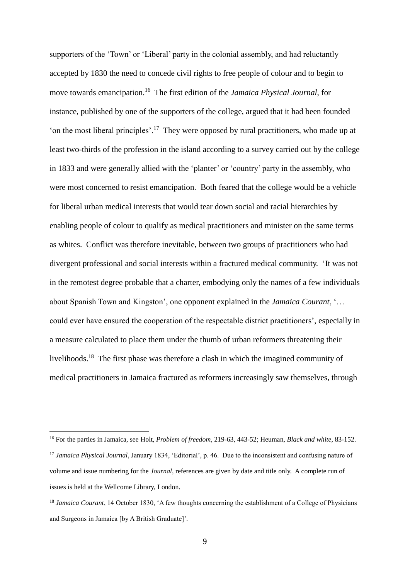supporters of the 'Town' or 'Liberal' party in the colonial assembly, and had reluctantly accepted by 1830 the need to concede civil rights to free people of colour and to begin to move towards emancipation.<sup>16</sup> The first edition of the *Jamaica Physical Journal*, for instance, published by one of the supporters of the college, argued that it had been founded 'on the most liberal principles'.<sup>17</sup> They were opposed by rural practitioners, who made up at least two-thirds of the profession in the island according to a survey carried out by the college in 1833 and were generally allied with the 'planter' or 'country' party in the assembly, who were most concerned to resist emancipation. Both feared that the college would be a vehicle for liberal urban medical interests that would tear down social and racial hierarchies by enabling people of colour to qualify as medical practitioners and minister on the same terms as whites. Conflict was therefore inevitable, between two groups of practitioners who had divergent professional and social interests within a fractured medical community. 'It was not in the remotest degree probable that a charter, embodying only the names of a few individuals about Spanish Town and Kingston', one opponent explained in the *Jamaica Courant*, '… could ever have ensured the cooperation of the respectable district practitioners', especially in a measure calculated to place them under the thumb of urban reformers threatening their livelihoods.<sup>18</sup> The first phase was therefore a clash in which the imagined community of medical practitioners in Jamaica fractured as reformers increasingly saw themselves, through

<sup>16</sup> For the parties in Jamaica, see Holt, *Problem of freedom*, 219-63, 443-52; Heuman, *Black and white*, 83-152. <sup>17</sup> *Jamaica Physical Journal*, January 1834, 'Editorial', p. 46. Due to the inconsistent and confusing nature of volume and issue numbering for the *Journal*, references are given by date and title only. A complete run of issues is held at the Wellcome Library, London.

<sup>18</sup> *Jamaica Courant*, 14 October 1830, 'A few thoughts concerning the establishment of a College of Physicians and Surgeons in Jamaica [by A British Graduate]'.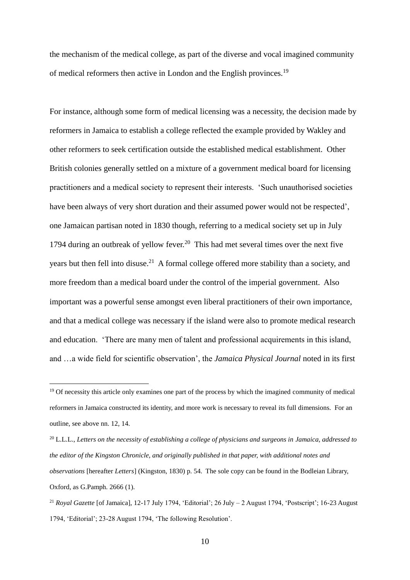the mechanism of the medical college, as part of the diverse and vocal imagined community of medical reformers then active in London and the English provinces.<sup>19</sup>

For instance, although some form of medical licensing was a necessity, the decision made by reformers in Jamaica to establish a college reflected the example provided by Wakley and other reformers to seek certification outside the established medical establishment. Other British colonies generally settled on a mixture of a government medical board for licensing practitioners and a medical society to represent their interests. 'Such unauthorised societies have been always of very short duration and their assumed power would not be respected', one Jamaican partisan noted in 1830 though, referring to a medical society set up in July 1794 during an outbreak of yellow fever.<sup>20</sup> This had met several times over the next five years but then fell into disuse.<sup>21</sup> A formal college offered more stability than a society, and more freedom than a medical board under the control of the imperial government. Also important was a powerful sense amongst even liberal practitioners of their own importance, and that a medical college was necessary if the island were also to promote medical research and education. 'There are many men of talent and professional acquirements in this island, and …a wide field for scientific observation', the *Jamaica Physical Journal* noted in its first

<sup>&</sup>lt;sup>19</sup> Of necessity this article only examines one part of the process by which the imagined community of medical reformers in Jamaica constructed its identity, and more work is necessary to reveal its full dimensions. For an outline, see above nn. 12, 14.

<sup>20</sup> L.L.L., *Letters on the necessity of establishing a college of physicians and surgeons in Jamaica, addressed to the editor of the Kingston Chronicle, and originally published in that paper, with additional notes and observations* [hereafter *Letters*] (Kingston, 1830) p. 54. The sole copy can be found in the Bodleian Library, Oxford, as G.Pamph. 2666 (1).

<sup>21</sup> *Royal Gazette* [of Jamaica], 12-17 July 1794, 'Editorial'; 26 July – 2 August 1794, 'Postscript'; 16-23 August 1794, 'Editorial'; 23-28 August 1794, 'The following Resolution'.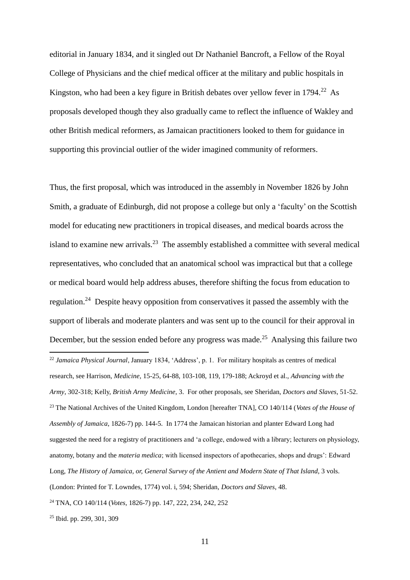editorial in January 1834, and it singled out Dr Nathaniel Bancroft, a Fellow of the Royal College of Physicians and the chief medical officer at the military and public hospitals in Kingston, who had been a key figure in British debates over yellow fever in  $1794.^{22}$  As proposals developed though they also gradually came to reflect the influence of Wakley and other British medical reformers, as Jamaican practitioners looked to them for guidance in supporting this provincial outlier of the wider imagined community of reformers.

Thus, the first proposal, which was introduced in the assembly in November 1826 by John Smith, a graduate of Edinburgh, did not propose a college but only a 'faculty' on the Scottish model for educating new practitioners in tropical diseases, and medical boards across the island to examine new arrivals.<sup>23</sup> The assembly established a committee with several medical representatives, who concluded that an anatomical school was impractical but that a college or medical board would help address abuses, therefore shifting the focus from education to regulation.<sup>24</sup> Despite heavy opposition from conservatives it passed the assembly with the support of liberals and moderate planters and was sent up to the council for their approval in December, but the session ended before any progress was made.<sup>25</sup> Analysing this failure two

<sup>22</sup> *Jamaica Physical Journal*, January 1834, 'Address', p. 1. For military hospitals as centres of medical research, see Harrison, *Medicine*, 15-25, 64-88, 103-108, 119, 179-188; Ackroyd et al., *Advancing with the Army*, 302-318; Kelly, *British Army Medicine*, 3. For other proposals, see Sheridan, *Doctors and Slaves*, 51-52. <sup>23</sup> The National Archives of the United Kingdom, London [hereafter TNA], CO 140/114 (*Votes of the House of Assembly of Jamaica*, 1826-7) pp. 144-5. In 1774 the Jamaican historian and planter Edward Long had suggested the need for a registry of practitioners and 'a college, endowed with a library; lecturers on physiology, anatomy, botany and the *materia medica*; with licensed inspectors of apothecaries, shops and drugs': Edward Long, *The History of Jamaica, or, General Survey of the Antient and Modern State of That Island*, 3 vols. (London: Printed for T. Lowndes, 1774) vol. i, 594; Sheridan, *Doctors and Slaves*, 48. <sup>24</sup> TNA, CO 140/114 (*Votes*, 1826-7) pp. 147, 222, 234, 242, 252

<sup>25</sup> Ibid. pp. 299, 301, 309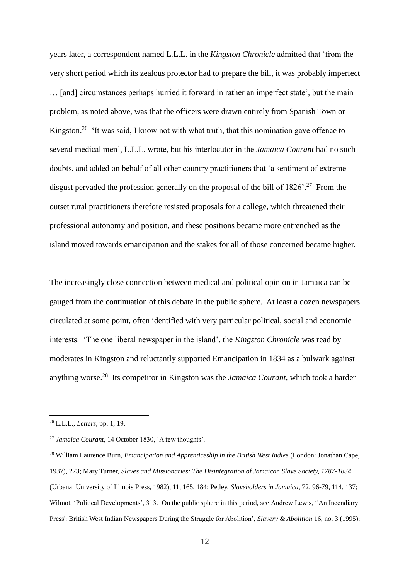years later, a correspondent named L.L.L. in the *Kingston Chronicle* admitted that 'from the very short period which its zealous protector had to prepare the bill, it was probably imperfect … [and] circumstances perhaps hurried it forward in rather an imperfect state', but the main problem, as noted above, was that the officers were drawn entirely from Spanish Town or Kingston.<sup>26</sup> 'It was said, I know not with what truth, that this nomination gave offence to several medical men', L.L.L. wrote, but his interlocutor in the *Jamaica Courant* had no such doubts, and added on behalf of all other country practitioners that 'a sentiment of extreme disgust pervaded the profession generally on the proposal of the bill of  $1826'$ .<sup>27</sup> From the outset rural practitioners therefore resisted proposals for a college, which threatened their professional autonomy and position, and these positions became more entrenched as the island moved towards emancipation and the stakes for all of those concerned became higher.

The increasingly close connection between medical and political opinion in Jamaica can be gauged from the continuation of this debate in the public sphere. At least a dozen newspapers circulated at some point, often identified with very particular political, social and economic interests. 'The one liberal newspaper in the island', the *Kingston Chronicle* was read by moderates in Kingston and reluctantly supported Emancipation in 1834 as a bulwark against anything worse.<sup>28</sup> Its competitor in Kingston was the *Jamaica Courant*, which took a harder

<sup>26</sup> L.L.L., *Letters*, pp. 1, 19.

<sup>27</sup> *Jamaica Courant*, 14 October 1830, 'A few thoughts'.

<sup>28</sup> William Laurence Burn, *Emancipation and Apprenticeship in the British West Indies* (London: Jonathan Cape, 1937), 273; Mary Turner, *Slaves and Missionaries: The Disintegration of Jamaican Slave Society, 1787-1834* (Urbana: University of Illinois Press, 1982), 11, 165, 184; Petley, *Slaveholders in Jamaica*, 72, 96-79, 114, 137; Wilmot, 'Political Developments', 313. On the public sphere in this period, see Andrew Lewis, ''An Incendiary Press': British West Indian Newspapers During the Struggle for Abolition', *Slavery & Abolition* 16, no. 3 (1995);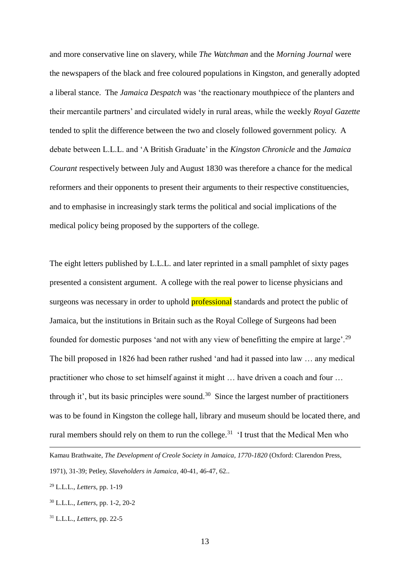and more conservative line on slavery, while *The Watchman* and the *Morning Journal* were the newspapers of the black and free coloured populations in Kingston, and generally adopted a liberal stance. The *Jamaica Despatch* was 'the reactionary mouthpiece of the planters and their mercantile partners' and circulated widely in rural areas, while the weekly *Royal Gazette* tended to split the difference between the two and closely followed government policy. A debate between L.L.L. and 'A British Graduate' in the *Kingston Chronicle* and the *Jamaica Courant* respectively between July and August 1830 was therefore a chance for the medical reformers and their opponents to present their arguments to their respective constituencies, and to emphasise in increasingly stark terms the political and social implications of the medical policy being proposed by the supporters of the college.

The eight letters published by L.L.L. and later reprinted in a small pamphlet of sixty pages presented a consistent argument. A college with the real power to license physicians and surgeons was necessary in order to uphold **professional** standards and protect the public of Jamaica, but the institutions in Britain such as the Royal College of Surgeons had been founded for domestic purposes 'and not with any view of benefitting the empire at large'.<sup>29</sup> The bill proposed in 1826 had been rather rushed 'and had it passed into law … any medical practitioner who chose to set himself against it might … have driven a coach and four … through it', but its basic principles were sound.<sup>30</sup> Since the largest number of practitioners was to be found in Kingston the college hall, library and museum should be located there, and rural members should rely on them to run the college.<sup>31</sup> 'I trust that the Medical Men who

<sup>29</sup> L.L.L., *Letters*, pp. 1-19

- <sup>30</sup> L.L.L., *Letters*, pp. 1-2, 20-2
- <sup>31</sup> L.L.L., *Letters*, pp. 22-5

Kamau Brathwaite, *The Development of Creole Society in Jamaica, 1770-1820* (Oxford: Clarendon Press, 1971), 31-39; Petley, *Slaveholders in Jamaica*, 40-41, 46-47, 62..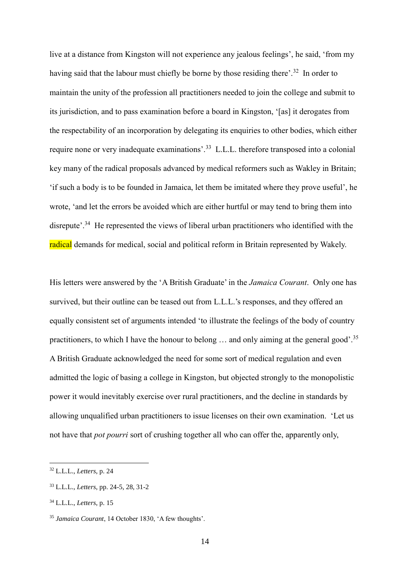live at a distance from Kingston will not experience any jealous feelings', he said, 'from my having said that the labour must chiefly be borne by those residing there'.<sup>32</sup> In order to maintain the unity of the profession all practitioners needed to join the college and submit to its jurisdiction, and to pass examination before a board in Kingston, '[as] it derogates from the respectability of an incorporation by delegating its enquiries to other bodies, which either require none or very inadequate examinations'.<sup>33</sup> L.L.L. therefore transposed into a colonial key many of the radical proposals advanced by medical reformers such as Wakley in Britain; 'if such a body is to be founded in Jamaica, let them be imitated where they prove useful', he wrote, 'and let the errors be avoided which are either hurtful or may tend to bring them into disrepute'.<sup>34</sup> He represented the views of liberal urban practitioners who identified with the radical demands for medical, social and political reform in Britain represented by Wakely.

His letters were answered by the 'A British Graduate' in the *Jamaica Courant*. Only one has survived, but their outline can be teased out from L.L.L.'s responses, and they offered an equally consistent set of arguments intended 'to illustrate the feelings of the body of country practitioners, to which I have the honour to belong  $\ldots$  and only aiming at the general good'.<sup>35</sup> A British Graduate acknowledged the need for some sort of medical regulation and even admitted the logic of basing a college in Kingston, but objected strongly to the monopolistic power it would inevitably exercise over rural practitioners, and the decline in standards by allowing unqualified urban practitioners to issue licenses on their own examination. 'Let us not have that *pot pourri* sort of crushing together all who can offer the, apparently only,

<sup>32</sup> L.L.L., *Letters*, p. 24

<sup>33</sup> L.L.L., *Letters*, pp. 24-5, 28, 31-2

<sup>34</sup> L.L.L., *Letters*, p. 15

<sup>35</sup> *Jamaica Courant*, 14 October 1830, 'A few thoughts'.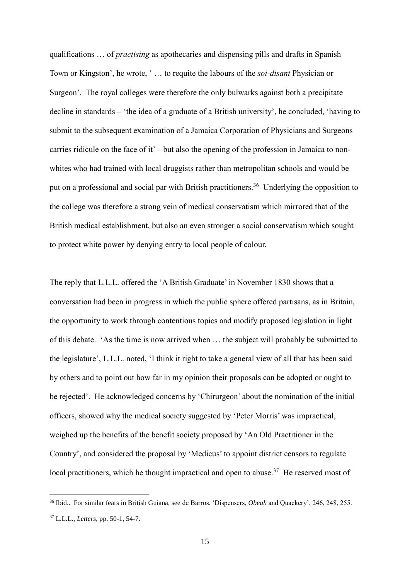qualifications … of *practising* as apothecaries and dispensing pills and drafts in Spanish Town or Kingston', he wrote, ' … to requite the labours of the *soi-disant* Physician or Surgeon'. The royal colleges were therefore the only bulwarks against both a precipitate decline in standards – 'the idea of a graduate of a British university', he concluded, 'having to submit to the subsequent examination of a Jamaica Corporation of Physicians and Surgeons carries ridicule on the face of it' – but also the opening of the profession in Jamaica to nonwhites who had trained with local druggists rather than metropolitan schools and would be put on a professional and social par with British practitioners.<sup>36</sup> Underlying the opposition to the college was therefore a strong vein of medical conservatism which mirrored that of the British medical establishment, but also an even stronger a social conservatism which sought to protect white power by denying entry to local people of colour.

The reply that L.L.L. offered the 'A British Graduate' in November 1830 shows that a conversation had been in progress in which the public sphere offered partisans, as in Britain, the opportunity to work through contentious topics and modify proposed legislation in light of this debate. 'As the time is now arrived when … the subject will probably be submitted to the legislature', L.L.L. noted, 'I think it right to take a general view of all that has been said by others and to point out how far in my opinion their proposals can be adopted or ought to be rejected'. He acknowledged concerns by 'Chirurgeon' about the nomination of the initial officers, showed why the medical society suggested by 'Peter Morris' was impractical, weighed up the benefits of the benefit society proposed by 'An Old Practitioner in the Country', and considered the proposal by 'Medicus' to appoint district censors to regulate local practitioners, which he thought impractical and open to abuse.<sup>37</sup> He reserved most of

<sup>36</sup> Ibid.. For similar fears in British Guiana, see de Barros, 'Dispensers, *Obeah* and Quackery', 246, 248, 255. <sup>37</sup> L.L.L., *Letters*, pp. 50-1, 54-7.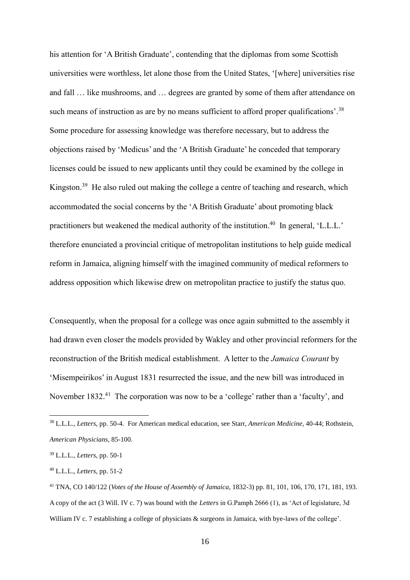his attention for 'A British Graduate', contending that the diplomas from some Scottish universities were worthless, let alone those from the United States, '[where] universities rise and fall … like mushrooms, and … degrees are granted by some of them after attendance on such means of instruction as are by no means sufficient to afford proper qualifications'.<sup>38</sup> Some procedure for assessing knowledge was therefore necessary, but to address the objections raised by 'Medicus' and the 'A British Graduate' he conceded that temporary licenses could be issued to new applicants until they could be examined by the college in Kingston.<sup>39</sup> He also ruled out making the college a centre of teaching and research, which accommodated the social concerns by the 'A British Graduate' about promoting black practitioners but weakened the medical authority of the institution.<sup>40</sup> In general, 'L.L.L.' therefore enunciated a provincial critique of metropolitan institutions to help guide medical reform in Jamaica, aligning himself with the imagined community of medical reformers to address opposition which likewise drew on metropolitan practice to justify the status quo.

Consequently, when the proposal for a college was once again submitted to the assembly it had drawn even closer the models provided by Wakley and other provincial reformers for the reconstruction of the British medical establishment. A letter to the *Jamaica Courant* by 'Misempeirikos' in August 1831 resurrected the issue, and the new bill was introduced in November 1832.<sup>41</sup> The corporation was now to be a 'college' rather than a 'faculty', and

<sup>38</sup> L.L.L., *Letters*, pp. 50-4. For American medical education, see Starr, *American Medicine*, 40-44; Rothstein, *American Physicians*, 85-100.

<sup>39</sup> L.L.L., *Letters*, pp. 50-1

<sup>40</sup> L.L.L., *Letters*, pp. 51-2

<sup>41</sup> TNA, CO 140/122 (*Votes of the House of Assembly of Jamaica*, 1832-3) pp. 81, 101, 106, 170, 171, 181, 193. A copy of the act (3 Will. IV c. 7) was bound with the *Letters* in G.Pamph 2666 (1), as 'Act of legislature, 3d William IV c. 7 establishing a college of physicians  $\&$  surgeons in Jamaica, with bye-laws of the college'.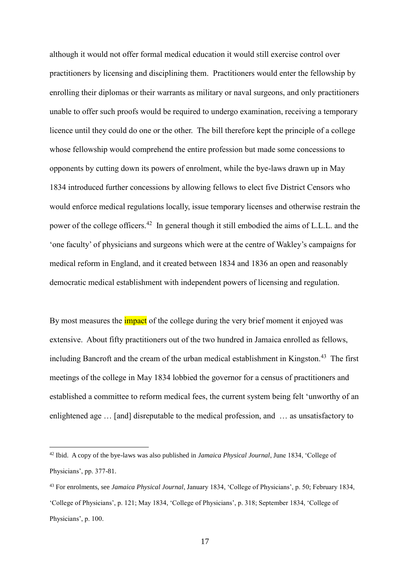although it would not offer formal medical education it would still exercise control over practitioners by licensing and disciplining them. Practitioners would enter the fellowship by enrolling their diplomas or their warrants as military or naval surgeons, and only practitioners unable to offer such proofs would be required to undergo examination, receiving a temporary licence until they could do one or the other. The bill therefore kept the principle of a college whose fellowship would comprehend the entire profession but made some concessions to opponents by cutting down its powers of enrolment, while the bye-laws drawn up in May 1834 introduced further concessions by allowing fellows to elect five District Censors who would enforce medical regulations locally, issue temporary licenses and otherwise restrain the power of the college officers.<sup>42</sup> In general though it still embodied the aims of L.L.L. and the 'one faculty' of physicians and surgeons which were at the centre of Wakley's campaigns for medical reform in England, and it created between 1834 and 1836 an open and reasonably democratic medical establishment with independent powers of licensing and regulation.

By most measures the *impact* of the college during the very brief moment it enjoyed was extensive. About fifty practitioners out of the two hundred in Jamaica enrolled as fellows, including Bancroft and the cream of the urban medical establishment in Kingston.<sup>43</sup> The first meetings of the college in May 1834 lobbied the governor for a census of practitioners and established a committee to reform medical fees, the current system being felt 'unworthy of an enlightened age … [and] disreputable to the medical profession, and … as unsatisfactory to

<sup>42</sup> Ibid. A copy of the bye-laws was also published in *Jamaica Physical Journal*, June 1834, 'College of Physicians', pp. 377-81.

<sup>43</sup> For enrolments, see *Jamaica Physical Journal*, January 1834, 'College of Physicians', p. 50; February 1834, 'College of Physicians', p. 121; May 1834, 'College of Physicians', p. 318; September 1834, 'College of Physicians', p. 100.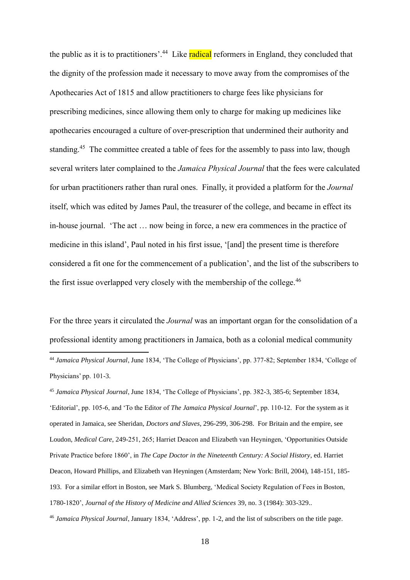the public as it is to practitioners'.<sup>44</sup> Like **radical** reformers in England, they concluded that the dignity of the profession made it necessary to move away from the compromises of the Apothecaries Act of 1815 and allow practitioners to charge fees like physicians for prescribing medicines, since allowing them only to charge for making up medicines like apothecaries encouraged a culture of over-prescription that undermined their authority and standing.<sup>45</sup> The committee created a table of fees for the assembly to pass into law, though several writers later complained to the *Jamaica Physical Journal* that the fees were calculated for urban practitioners rather than rural ones. Finally, it provided a platform for the *Journal*  itself, which was edited by James Paul, the treasurer of the college, and became in effect its in-house journal. 'The act … now being in force, a new era commences in the practice of medicine in this island', Paul noted in his first issue, '[and] the present time is therefore considered a fit one for the commencement of a publication', and the list of the subscribers to the first issue overlapped very closely with the membership of the college.<sup>46</sup>

For the three years it circulated the *Journal* was an important organ for the consolidation of a professional identity among practitioners in Jamaica, both as a colonial medical community

1

<sup>45</sup> *Jamaica Physical Journal*, June 1834, 'The College of Physicians', pp. 382-3, 385-6; September 1834, 'Editorial', pp. 105-6, and 'To the Editor of *The Jamaica Physical Journal*', pp. 110-12. For the system as it operated in Jamaica, see Sheridan, *Doctors and Slaves*, 296-299, 306-298. For Britain and the empire, see Loudon, *Medical Care*, 249-251, 265; Harriet Deacon and Elizabeth van Heyningen, 'Opportunities Outside Private Practice before 1860', in *The Cape Doctor in the Nineteenth Century: A Social History*, ed. Harriet Deacon, Howard Phillips, and Elizabeth van Heyningen (Amsterdam; New York: Brill, 2004), 148-151, 185- 193. For a similar effort in Boston, see Mark S. Blumberg, 'Medical Society Regulation of Fees in Boston, 1780-1820', *Journal of the History of Medicine and Allied Sciences* 39, no. 3 (1984): 303-329..

<sup>46</sup> *Jamaica Physical Journal*, January 1834, 'Address', pp. 1-2, and the list of subscribers on the title page.

<sup>44</sup> *Jamaica Physical Journal*, June 1834, 'The College of Physicians', pp. 377-82; September 1834, 'College of Physicians' pp. 101-3.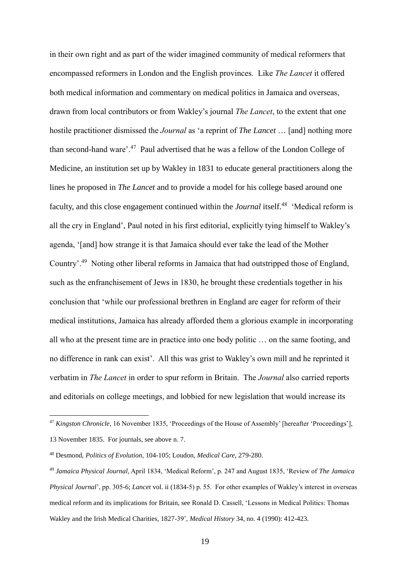in their own right and as part of the wider imagined community of medical reformers that encompassed reformers in London and the English provinces. Like *The Lancet* it offered both medical information and commentary on medical politics in Jamaica and overseas, drawn from local contributors or from Wakley's journal *The Lancet*, to the extent that one hostile practitioner dismissed the *Journal* as 'a reprint of *The Lancet* … [and] nothing more than second-hand ware'.<sup>47</sup> Paul advertised that he was a fellow of the London College of Medicine, an institution set up by Wakley in 1831 to educate general practitioners along the lines he proposed in *The Lancet* and to provide a model for his college based around one faculty, and this close engagement continued within the *Journal* itself.<sup>48</sup> 'Medical reform is all the cry in England', Paul noted in his first editorial, explicitly tying himself to Wakley's agenda, '[and] how strange it is that Jamaica should ever take the lead of the Mother Country'.<sup>49</sup> Noting other liberal reforms in Jamaica that had outstripped those of England, such as the enfranchisement of Jews in 1830, he brought these credentials together in his conclusion that 'while our professional brethren in England are eager for reform of their medical institutions, Jamaica has already afforded them a glorious example in incorporating all who at the present time are in practice into one body politic … on the same footing, and no difference in rank can exist'. All this was grist to Wakley's own mill and he reprinted it verbatim in *The Lancet* in order to spur reform in Britain. The *Journal* also carried reports and editorials on college meetings, and lobbied for new legislation that would increase its

<sup>47</sup> *Kingston Chronicle*, 16 November 1835, 'Proceedings of the House of Assembly' [hereafter 'Proceedings'], 13 November 1835. For journals, see above n. 7.

<sup>48</sup> Desmond, *Politics of Evolution*, 104-105; Loudon, *Medical Care*, 279-280.

<sup>49</sup> *Jamaica Physical Journal*, April 1834, 'Medical Reform', p. 247 and August 1835, 'Review of *The Jamaica Physical Journal*', pp. 305-6; *Lancet* vol. ii (1834-5) p. 55. For other examples of Wakley's interest in overseas medical reform and its implications for Britain, see Ronald D. Cassell, 'Lessons in Medical Politics: Thomas Wakley and the Irish Medical Charities, 1827-39', *Medical History* 34, no. 4 (1990): 412-423.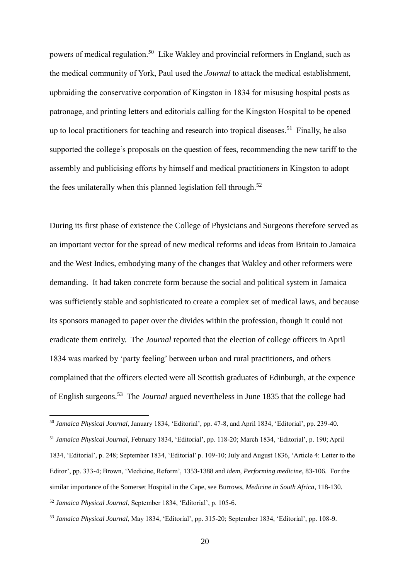powers of medical regulation.<sup>50</sup> Like Wakley and provincial reformers in England, such as the medical community of York, Paul used the *Journal* to attack the medical establishment, upbraiding the conservative corporation of Kingston in 1834 for misusing hospital posts as patronage, and printing letters and editorials calling for the Kingston Hospital to be opened up to local practitioners for teaching and research into tropical diseases.<sup>51</sup> Finally, he also supported the college's proposals on the question of fees, recommending the new tariff to the assembly and publicising efforts by himself and medical practitioners in Kingston to adopt the fees unilaterally when this planned legislation fell through.<sup>52</sup>

During its first phase of existence the College of Physicians and Surgeons therefore served as an important vector for the spread of new medical reforms and ideas from Britain to Jamaica and the West Indies, embodying many of the changes that Wakley and other reformers were demanding. It had taken concrete form because the social and political system in Jamaica was sufficiently stable and sophisticated to create a complex set of medical laws, and because its sponsors managed to paper over the divides within the profession, though it could not eradicate them entirely. The *Journal* reported that the election of college officers in April 1834 was marked by 'party feeling' between urban and rural practitioners, and others complained that the officers elected were all Scottish graduates of Edinburgh, at the expence of English surgeons.<sup>53</sup> The *Journal* argued nevertheless in June 1835 that the college had

<sup>50</sup> *Jamaica Physical Journal*, January 1834, 'Editorial', pp. 47-8, and April 1834, 'Editorial', pp. 239-40.

<u>.</u>

<sup>51</sup> *Jamaica Physical Journal*, February 1834, 'Editorial', pp. 118-20; March 1834, 'Editorial', p. 190; April 1834, 'Editorial', p. 248; September 1834, 'Editorial' p. 109-10; July and August 1836, 'Article 4: Letter to the Editor', pp. 333-4; Brown, 'Medicine, Reform', 1353-1388 and *idem*, *Performing medicine*, 83-106. For the similar importance of the Somerset Hospital in the Cape, see Burrows, *Medicine in South Africa*, 118-130. <sup>52</sup> *Jamaica Physical Journal*, September 1834, 'Editorial', p. 105-6.

<sup>53</sup> *Jamaica Physical Journal*, May 1834, 'Editorial', pp. 315-20; September 1834, 'Editorial', pp. 108-9.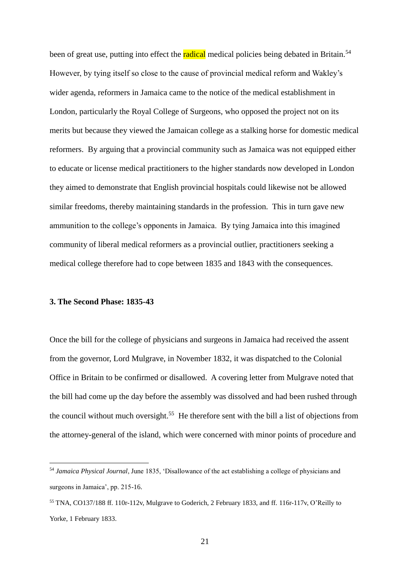been of great use, putting into effect the **radical** medical policies being debated in Britain.<sup>54</sup> However, by tying itself so close to the cause of provincial medical reform and Wakley's wider agenda, reformers in Jamaica came to the notice of the medical establishment in London, particularly the Royal College of Surgeons, who opposed the project not on its merits but because they viewed the Jamaican college as a stalking horse for domestic medical reformers. By arguing that a provincial community such as Jamaica was not equipped either to educate or license medical practitioners to the higher standards now developed in London they aimed to demonstrate that English provincial hospitals could likewise not be allowed similar freedoms, thereby maintaining standards in the profession. This in turn gave new ammunition to the college's opponents in Jamaica. By tying Jamaica into this imagined community of liberal medical reformers as a provincial outlier, practitioners seeking a medical college therefore had to cope between 1835 and 1843 with the consequences.

## **3. The Second Phase: 1835-43**

<u>.</u>

Once the bill for the college of physicians and surgeons in Jamaica had received the assent from the governor, Lord Mulgrave, in November 1832, it was dispatched to the Colonial Office in Britain to be confirmed or disallowed. A covering letter from Mulgrave noted that the bill had come up the day before the assembly was dissolved and had been rushed through the council without much oversight.<sup>55</sup> He therefore sent with the bill a list of objections from the attorney-general of the island, which were concerned with minor points of procedure and

<sup>54</sup> *Jamaica Physical Journal*, June 1835, 'Disallowance of the act establishing a college of physicians and surgeons in Jamaica', pp. 215-16.

<sup>55</sup> TNA, CO137/188 ff. 110r-112v, Mulgrave to Goderich, 2 February 1833, and ff. 116r-117v, O'Reilly to Yorke, 1 February 1833.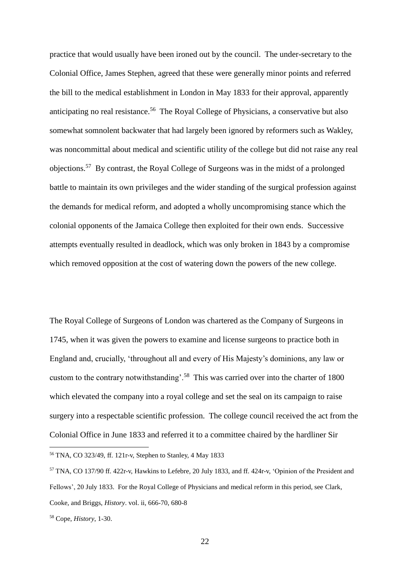practice that would usually have been ironed out by the council. The under-secretary to the Colonial Office, James Stephen, agreed that these were generally minor points and referred the bill to the medical establishment in London in May 1833 for their approval, apparently anticipating no real resistance.<sup>56</sup> The Royal College of Physicians, a conservative but also somewhat somnolent backwater that had largely been ignored by reformers such as Wakley, was noncommittal about medical and scientific utility of the college but did not raise any real objections.<sup>57</sup> By contrast, the Royal College of Surgeons was in the midst of a prolonged battle to maintain its own privileges and the wider standing of the surgical profession against the demands for medical reform, and adopted a wholly uncompromising stance which the colonial opponents of the Jamaica College then exploited for their own ends. Successive attempts eventually resulted in deadlock, which was only broken in 1843 by a compromise which removed opposition at the cost of watering down the powers of the new college.

The Royal College of Surgeons of London was chartered as the Company of Surgeons in 1745, when it was given the powers to examine and license surgeons to practice both in England and, crucially, 'throughout all and every of His Majesty's dominions, any law or custom to the contrary notwithstanding'.<sup>58</sup> This was carried over into the charter of 1800 which elevated the company into a royal college and set the seal on its campaign to raise surgery into a respectable scientific profession. The college council received the act from the Colonial Office in June 1833 and referred it to a committee chaired by the hardliner Sir

<sup>56</sup> TNA, CO 323/49, ff. 121r-v, Stephen to Stanley, 4 May 1833

<sup>57</sup> TNA, CO 137/90 ff. 422r-v, Hawkins to Lefebre, 20 July 1833, and ff. 424r-v, 'Opinion of the President and Fellows', 20 July 1833. For the Royal College of Physicians and medical reform in this period, see Clark, Cooke, and Briggs, *History*. vol. ii, 666-70, 680-8

<sup>58</sup> Cope, *History*, 1-30.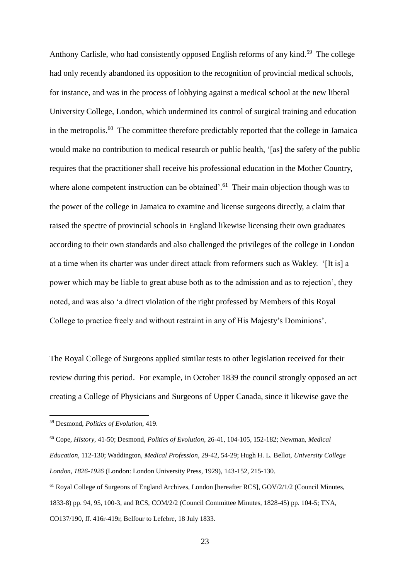Anthony Carlisle, who had consistently opposed English reforms of any kind.<sup>59</sup> The college had only recently abandoned its opposition to the recognition of provincial medical schools, for instance, and was in the process of lobbying against a medical school at the new liberal University College, London, which undermined its control of surgical training and education in the metropolis.<sup>60</sup> The committee therefore predictably reported that the college in Jamaica would make no contribution to medical research or public health, '[as] the safety of the public requires that the practitioner shall receive his professional education in the Mother Country, where alone competent instruction can be obtained'. $61$  Their main objection though was to the power of the college in Jamaica to examine and license surgeons directly, a claim that raised the spectre of provincial schools in England likewise licensing their own graduates according to their own standards and also challenged the privileges of the college in London at a time when its charter was under direct attack from reformers such as Wakley. '[It is] a power which may be liable to great abuse both as to the admission and as to rejection', they noted, and was also 'a direct violation of the right professed by Members of this Royal College to practice freely and without restraint in any of His Majesty's Dominions'.

The Royal College of Surgeons applied similar tests to other legislation received for their review during this period. For example, in October 1839 the council strongly opposed an act creating a College of Physicians and Surgeons of Upper Canada, since it likewise gave the

<sup>59</sup> Desmond, *Politics of Evolution*, 419.

<sup>60</sup> Cope, *History*, 41-50; Desmond, *Politics of Evolution*, 26-41, 104-105, 152-182; Newman, *Medical Education*, 112-130; Waddington, *Medical Profession*, 29-42, 54-29; Hugh H. L. Bellot, *University College London, 1826-1926* (London: London University Press, 1929), 143-152, 215-130.

<sup>&</sup>lt;sup>61</sup> Royal College of Surgeons of England Archives, London [hereafter RCS], GOV/2/1/2 (Council Minutes, 1833-8) pp. 94, 95, 100-3, and RCS, COM/2/2 (Council Committee Minutes, 1828-45) pp. 104-5; TNA, CO137/190, ff. 416r-419r, Belfour to Lefebre, 18 July 1833.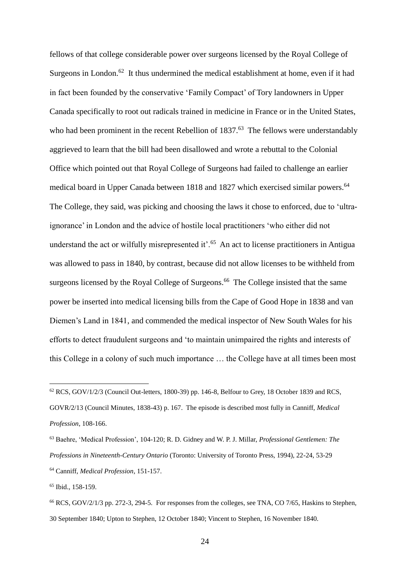fellows of that college considerable power over surgeons licensed by the Royal College of Surgeons in London.<sup>62</sup> It thus undermined the medical establishment at home, even if it had in fact been founded by the conservative 'Family Compact' of Tory landowners in Upper Canada specifically to root out radicals trained in medicine in France or in the United States, who had been prominent in the recent Rebellion of 1837.<sup>63</sup> The fellows were understandably aggrieved to learn that the bill had been disallowed and wrote a rebuttal to the Colonial Office which pointed out that Royal College of Surgeons had failed to challenge an earlier medical board in Upper Canada between 1818 and 1827 which exercised similar powers. 64 The College, they said, was picking and choosing the laws it chose to enforced, due to 'ultraignorance' in London and the advice of hostile local practitioners 'who either did not understand the act or wilfully misrepresented it'.<sup>65</sup> An act to license practitioners in Antigua was allowed to pass in 1840, by contrast, because did not allow licenses to be withheld from surgeons licensed by the Royal College of Surgeons.<sup>66</sup> The College insisted that the same power be inserted into medical licensing bills from the Cape of Good Hope in 1838 and van Diemen's Land in 1841, and commended the medical inspector of New South Wales for his efforts to detect fraudulent surgeons and 'to maintain unimpaired the rights and interests of this College in a colony of such much importance … the College have at all times been most

<sup>65</sup> Ibid., 158-159.

<sup>62</sup> RCS, GOV/1/2/3 (Council Out-letters, 1800-39) pp. 146-8, Belfour to Grey, 18 October 1839 and RCS, GOVR/2/13 (Council Minutes, 1838-43) p. 167. The episode is described most fully in Canniff, *Medical Profession*, 108-166.

<sup>63</sup> Baehre, 'Medical Profession', 104-120; R. D. Gidney and W. P. J. Millar, *Professional Gentlemen: The Professions in Nineteenth-Century Ontario* (Toronto: University of Toronto Press, 1994), 22-24, 53-29 <sup>64</sup> Canniff, *Medical Profession*, 151-157.

<sup>66</sup> RCS, GOV/2/1/3 pp. 272-3, 294-5. For responses from the colleges, see TNA, CO 7/65, Haskins to Stephen, 30 September 1840; Upton to Stephen, 12 October 1840; Vincent to Stephen, 16 November 1840.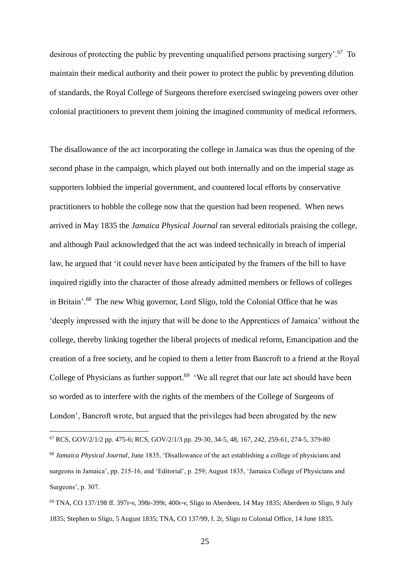desirous of protecting the public by preventing unqualified persons practising surgery'.<sup>67</sup> To maintain their medical authority and their power to protect the public by preventing dilution of standards, the Royal College of Surgeons therefore exercised swingeing powers over other colonial practitioners to prevent them joining the imagined community of medical reformers.

The disallowance of the act incorporating the college in Jamaica was thus the opening of the second phase in the campaign, which played out both internally and on the imperial stage as supporters lobbied the imperial government, and countered local efforts by conservative practitioners to hobble the college now that the question had been reopened. When news arrived in May 1835 the *Jamaica Physical Journal* ran several editorials praising the college, and although Paul acknowledged that the act was indeed technically in breach of imperial law, he argued that 'it could never have been anticipated by the framers of the bill to have inquired rigidly into the character of those already admitted members or fellows of colleges in Britain'.<sup>68</sup> The new Whig governor, Lord Sligo, told the Colonial Office that he was 'deeply impressed with the injury that will be done to the Apprentices of Jamaica' without the college, thereby linking together the liberal projects of medical reform, Emancipation and the creation of a free society, and he copied to them a letter from Bancroft to a friend at the Royal College of Physicians as further support.<sup>69</sup> 'We all regret that our late act should have been so worded as to interfere with the rights of the members of the College of Surgeons of London', Bancroft wrote, but argued that the privileges had been abrogated by the new

<sup>67</sup> RCS, GOV/2/1/2 pp. 475-6; RCS, GOV/2/1/3 pp. 29-30, 34-5, 48, 167, 242, 259-61, 274-5, 379-80

<sup>68</sup> *Jamaica Physical Journal*, June 1835, 'Disallowance of the act establishing a college of physicians and surgeons in Jamaica', pp. 215-16, and 'Editorial', p. 259; August 1835, 'Jamaica College of Physicians and Surgeons', p. 307.

<sup>69</sup> TNA, CO 137/198 ff. 397r-v, 398r-399r, 400r-v, Sligo to Aberdeen, 14 May 1835; Aberdeen to Sligo, 9 July 1835; Stephen to Sligo, 5 August 1835; TNA, CO 137/99, f. 2r, Sligo to Colonial Office, 14 June 1835.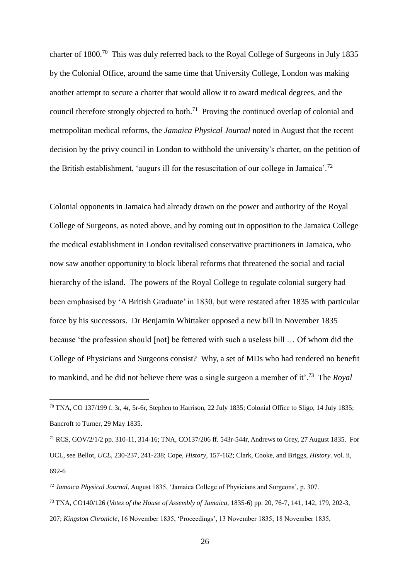charter of 1800.<sup>70</sup> This was duly referred back to the Royal College of Surgeons in July 1835 by the Colonial Office, around the same time that University College, London was making another attempt to secure a charter that would allow it to award medical degrees, and the council therefore strongly objected to both.<sup>71</sup> Proving the continued overlap of colonial and metropolitan medical reforms, the *Jamaica Physical Journal* noted in August that the recent decision by the privy council in London to withhold the university's charter, on the petition of the British establishment, 'augurs ill for the resuscitation of our college in Jamaica'.<sup>72</sup>

Colonial opponents in Jamaica had already drawn on the power and authority of the Royal College of Surgeons, as noted above, and by coming out in opposition to the Jamaica College the medical establishment in London revitalised conservative practitioners in Jamaica, who now saw another opportunity to block liberal reforms that threatened the social and racial hierarchy of the island. The powers of the Royal College to regulate colonial surgery had been emphasised by 'A British Graduate' in 1830, but were restated after 1835 with particular force by his successors. Dr Benjamin Whittaker opposed a new bill in November 1835 because 'the profession should [not] be fettered with such a useless bill … Of whom did the College of Physicians and Surgeons consist? Why, a set of MDs who had rendered no benefit to mankind, and he did not believe there was a single surgeon a member of it'.<sup>73</sup> The *Royal* 

1

<sup>73</sup> TNA, CO140/126 (*Votes of the House of Assembly of Jamaica*, 1835-6) pp. 20, 76-7, 141, 142, 179, 202-3,

 $^{70}$  TNA, CO 137/199 f. 3r, 4r, 5r-6r, Stephen to Harrison, 22 July 1835; Colonial Office to Sligo, 14 July 1835; Bancroft to Turner, 29 May 1835.

<sup>71</sup> RCS, GOV/2/1/2 pp. 310-11, 314-16; TNA, CO137/206 ff. 543r-544r, Andrews to Grey, 27 August 1835. For UCL, see Bellot, *UCL*, 230-237, 241-238; Cope, *History*, 157-162; Clark, Cooke, and Briggs, *History*. vol. ii, 692-6

<sup>72</sup> *Jamaica Physical Journal*, August 1835, 'Jamaica College of Physicians and Surgeons', p. 307.

<sup>207;</sup> *Kingston Chronicle*, 16 November 1835, 'Proceedings', 13 November 1835; 18 November 1835,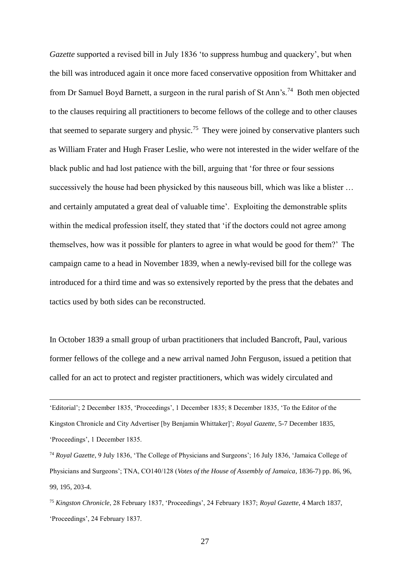*Gazette* supported a revised bill in July 1836 'to suppress humbug and quackery', but when the bill was introduced again it once more faced conservative opposition from Whittaker and from Dr Samuel Boyd Barnett, a surgeon in the rural parish of St Ann's.<sup>74</sup> Both men objected to the clauses requiring all practitioners to become fellows of the college and to other clauses that seemed to separate surgery and physic.<sup>75</sup> They were joined by conservative planters such as William Frater and Hugh Fraser Leslie, who were not interested in the wider welfare of the black public and had lost patience with the bill, arguing that 'for three or four sessions successively the house had been physicked by this nauseous bill, which was like a blister … and certainly amputated a great deal of valuable time'. Exploiting the demonstrable splits within the medical profession itself, they stated that 'if the doctors could not agree among themselves, how was it possible for planters to agree in what would be good for them?' The campaign came to a head in November 1839, when a newly-revised bill for the college was introduced for a third time and was so extensively reported by the press that the debates and tactics used by both sides can be reconstructed.

In October 1839 a small group of urban practitioners that included Bancroft, Paul, various former fellows of the college and a new arrival named John Ferguson, issued a petition that called for an act to protect and register practitioners, which was widely circulated and

'Editorial'; 2 December 1835, 'Proceedings', 1 December 1835; 8 December 1835, 'To the Editor of the Kingston Chronicle and City Advertiser [by Benjamin Whittaker]'; *Royal Gazette*, 5-7 December 1835, 'Proceedings', 1 December 1835.

1

<sup>74</sup> *Royal Gazette*, 9 July 1836, 'The College of Physicians and Surgeons'; 16 July 1836, 'Jamaica College of Physicians and Surgeons'; TNA, CO140/128 (*Votes of the House of Assembly of Jamaica*, 1836-7) pp. 86, 96, 99, 195, 203-4.

<sup>75</sup> *Kingston Chronicle*, 28 February 1837, 'Proceedings', 24 February 1837; *Royal Gazette*, 4 March 1837, 'Proceedings', 24 February 1837.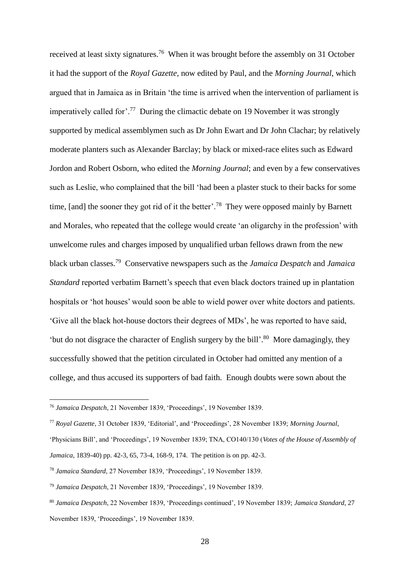received at least sixty signatures.<sup>76</sup> When it was brought before the assembly on 31 October it had the support of the *Royal Gazette*, now edited by Paul, and the *Morning Journal*, which argued that in Jamaica as in Britain 'the time is arrived when the intervention of parliament is imperatively called for'.<sup>77</sup> During the climactic debate on 19 November it was strongly supported by medical assemblymen such as Dr John Ewart and Dr John Clachar; by relatively moderate planters such as Alexander Barclay; by black or mixed-race elites such as Edward Jordon and Robert Osborn, who edited the *Morning Journal*; and even by a few conservatives such as Leslie, who complained that the bill 'had been a plaster stuck to their backs for some time, [and] the sooner they got rid of it the better'.<sup>78</sup> They were opposed mainly by Barnett and Morales, who repeated that the college would create 'an oligarchy in the profession' with unwelcome rules and charges imposed by unqualified urban fellows drawn from the new black urban classes.<sup>79</sup> Conservative newspapers such as the *Jamaica Despatch* and *Jamaica Standard* reported verbatim Barnett's speech that even black doctors trained up in plantation hospitals or 'hot houses' would soon be able to wield power over white doctors and patients. 'Give all the black hot-house doctors their degrees of MDs', he was reported to have said, 'but do not disgrace the character of English surgery by the bill'.<sup>80</sup> More damagingly, they successfully showed that the petition circulated in October had omitted any mention of a college, and thus accused its supporters of bad faith. Enough doubts were sown about the

<sup>76</sup> *Jamaica Despatch*, 21 November 1839, 'Proceedings', 19 November 1839.

<sup>77</sup> *Royal Gazette*, 31 October 1839, 'Editorial', and 'Proceedings', 28 November 1839; *Morning Journal*,

<sup>&#</sup>x27;Physicians Bill', and 'Proceedings', 19 November 1839; TNA, CO140/130 (*Votes of the House of Assembly of Jamaica*, 1839-40) pp. 42-3, 65, 73-4, 168-9, 174. The petition is on pp. 42-3.

<sup>78</sup> *Jamaica Standard*, 27 November 1839, 'Proceedings', 19 November 1839.

<sup>79</sup> *Jamaica Despatch*, 21 November 1839, 'Proceedings', 19 November 1839.

<sup>80</sup> *Jamaica Despatch*, 22 November 1839, 'Proceedings continued', 19 November 1839; *Jamaica Standard*, 27 November 1839, 'Proceedings', 19 November 1839.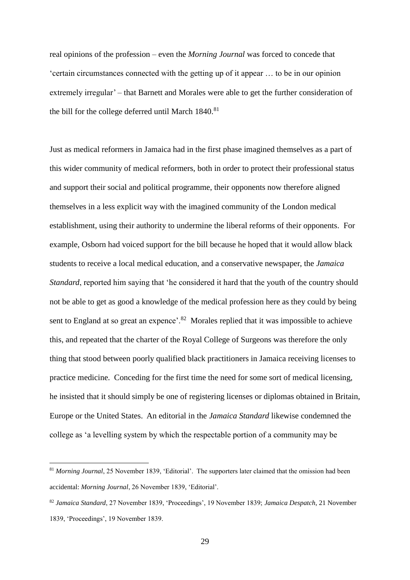real opinions of the profession – even the *Morning Journal* was forced to concede that 'certain circumstances connected with the getting up of it appear … to be in our opinion extremely irregular' – that Barnett and Morales were able to get the further consideration of the bill for the college deferred until March  $1840$ .<sup>81</sup>

Just as medical reformers in Jamaica had in the first phase imagined themselves as a part of this wider community of medical reformers, both in order to protect their professional status and support their social and political programme, their opponents now therefore aligned themselves in a less explicit way with the imagined community of the London medical establishment, using their authority to undermine the liberal reforms of their opponents. For example, Osborn had voiced support for the bill because he hoped that it would allow black students to receive a local medical education, and a conservative newspaper, the *Jamaica Standard*, reported him saying that 'he considered it hard that the youth of the country should not be able to get as good a knowledge of the medical profession here as they could by being sent to England at so great an expence'.<sup>82</sup> Morales replied that it was impossible to achieve this, and repeated that the charter of the Royal College of Surgeons was therefore the only thing that stood between poorly qualified black practitioners in Jamaica receiving licenses to practice medicine. Conceding for the first time the need for some sort of medical licensing, he insisted that it should simply be one of registering licenses or diplomas obtained in Britain, Europe or the United States. An editorial in the *Jamaica Standard* likewise condemned the college as 'a levelling system by which the respectable portion of a community may be

<sup>&</sup>lt;sup>81</sup> *Morning Journal*, 25 November 1839, 'Editorial'. The supporters later claimed that the omission had been accidental: *Morning Journal*, 26 November 1839, 'Editorial'.

<sup>82</sup> *Jamaica Standard*, 27 November 1839, 'Proceedings', 19 November 1839; *Jamaica Despatch*, 21 November 1839, 'Proceedings', 19 November 1839.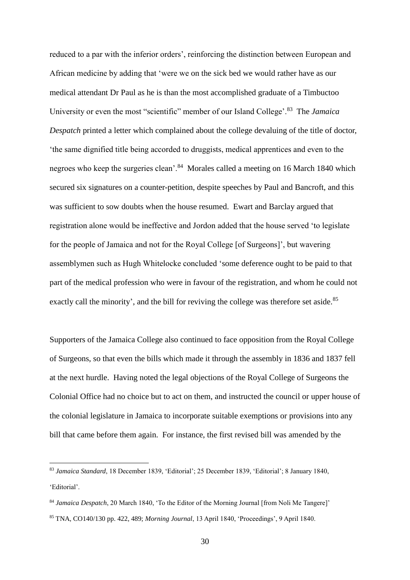reduced to a par with the inferior orders', reinforcing the distinction between European and African medicine by adding that 'were we on the sick bed we would rather have as our medical attendant Dr Paul as he is than the most accomplished graduate of a Timbuctoo University or even the most "scientific" member of our Island College'.<sup>83</sup> The *Jamaica Despatch* printed a letter which complained about the college devaluing of the title of doctor, 'the same dignified title being accorded to druggists, medical apprentices and even to the negroes who keep the surgeries clean'.<sup>84</sup> Morales called a meeting on 16 March 1840 which secured six signatures on a counter-petition, despite speeches by Paul and Bancroft, and this was sufficient to sow doubts when the house resumed. Ewart and Barclay argued that registration alone would be ineffective and Jordon added that the house served 'to legislate for the people of Jamaica and not for the Royal College [of Surgeons]', but wavering assemblymen such as Hugh Whitelocke concluded 'some deference ought to be paid to that part of the medical profession who were in favour of the registration, and whom he could not exactly call the minority', and the bill for reviving the college was therefore set aside.<sup>85</sup>

Supporters of the Jamaica College also continued to face opposition from the Royal College of Surgeons, so that even the bills which made it through the assembly in 1836 and 1837 fell at the next hurdle. Having noted the legal objections of the Royal College of Surgeons the Colonial Office had no choice but to act on them, and instructed the council or upper house of the colonial legislature in Jamaica to incorporate suitable exemptions or provisions into any bill that came before them again. For instance, the first revised bill was amended by the

<sup>83</sup> *Jamaica Standard*, 18 December 1839, 'Editorial'; 25 December 1839, 'Editorial'; 8 January 1840, 'Editorial'.

<sup>84</sup> *Jamaica Despatch*, 20 March 1840, 'To the Editor of the Morning Journal [from Noli Me Tangere]' <sup>85</sup> TNA, CO140/130 pp. 422, 489; *Morning Journal*, 13 April 1840, 'Proceedings', 9 April 1840.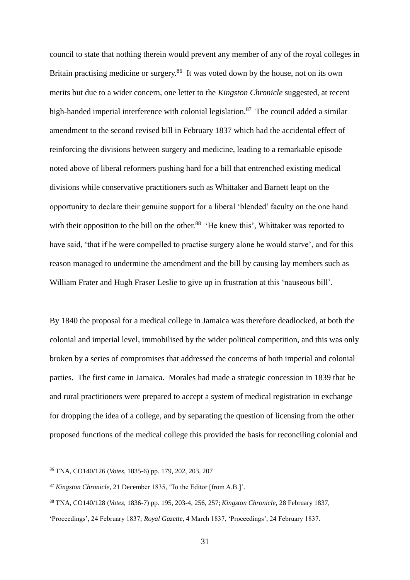council to state that nothing therein would prevent any member of any of the royal colleges in Britain practising medicine or surgery.<sup>86</sup> It was voted down by the house, not on its own merits but due to a wider concern, one letter to the *Kingston Chronicle* suggested, at recent high-handed imperial interference with colonial legislation.<sup>87</sup> The council added a similar amendment to the second revised bill in February 1837 which had the accidental effect of reinforcing the divisions between surgery and medicine, leading to a remarkable episode noted above of liberal reformers pushing hard for a bill that entrenched existing medical divisions while conservative practitioners such as Whittaker and Barnett leapt on the opportunity to declare their genuine support for a liberal 'blended' faculty on the one hand with their opposition to the bill on the other.<sup>88</sup> 'He knew this', Whittaker was reported to have said, 'that if he were compelled to practise surgery alone he would starve', and for this reason managed to undermine the amendment and the bill by causing lay members such as William Frater and Hugh Fraser Leslie to give up in frustration at this 'nauseous bill'.

By 1840 the proposal for a medical college in Jamaica was therefore deadlocked, at both the colonial and imperial level, immobilised by the wider political competition, and this was only broken by a series of compromises that addressed the concerns of both imperial and colonial parties. The first came in Jamaica. Morales had made a strategic concession in 1839 that he and rural practitioners were prepared to accept a system of medical registration in exchange for dropping the idea of a college, and by separating the question of licensing from the other proposed functions of the medical college this provided the basis for reconciling colonial and

<sup>86</sup> TNA, CO140/126 (*Votes*, 1835-6) pp. 179, 202, 203, 207

<sup>87</sup> *Kingston Chronicle*, 21 December 1835, 'To the Editor [from A.B.]'.

<sup>88</sup> TNA, CO140/128 (*Votes*, 1836-7) pp. 195, 203-4, 256, 257; *Kingston Chronicle*, 28 February 1837,

<sup>&#</sup>x27;Proceedings', 24 February 1837; *Royal Gazette*, 4 March 1837, 'Proceedings', 24 February 1837.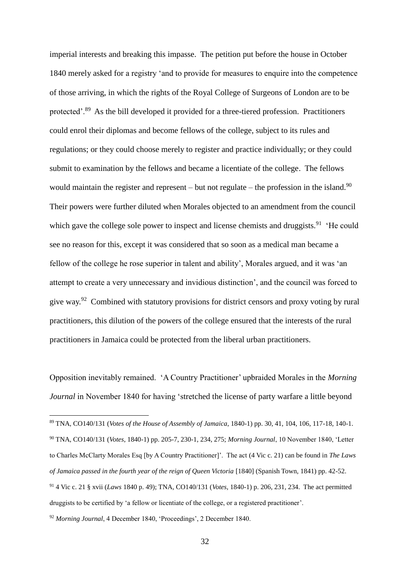imperial interests and breaking this impasse. The petition put before the house in October 1840 merely asked for a registry 'and to provide for measures to enquire into the competence of those arriving, in which the rights of the Royal College of Surgeons of London are to be protected'.<sup>89</sup> As the bill developed it provided for a three-tiered profession. Practitioners could enrol their diplomas and become fellows of the college, subject to its rules and regulations; or they could choose merely to register and practice individually; or they could submit to examination by the fellows and became a licentiate of the college. The fellows would maintain the register and represent – but not regulate – the profession in the island.<sup>90</sup> Their powers were further diluted when Morales objected to an amendment from the council which gave the college sole power to inspect and license chemists and druggists.<sup>91</sup> 'He could see no reason for this, except it was considered that so soon as a medical man became a fellow of the college he rose superior in talent and ability', Morales argued, and it was 'an attempt to create a very unnecessary and invidious distinction', and the council was forced to give way.<sup>92</sup> Combined with statutory provisions for district censors and proxy voting by rural practitioners, this dilution of the powers of the college ensured that the interests of the rural practitioners in Jamaica could be protected from the liberal urban practitioners.

Opposition inevitably remained. 'A Country Practitioner' upbraided Morales in the *Morning Journal* in November 1840 for having 'stretched the license of party warfare a little beyond

<sup>89</sup> TNA, CO140/131 (*Votes of the House of Assembly of Jamaica*, 1840-1) pp. 30, 41, 104, 106, 117-18, 140-1. <sup>90</sup> TNA, CO140/131 (*Votes*, 1840-1) pp. 205-7, 230-1, 234, 275; *Morning Journal*, 10 November 1840, 'Letter to Charles McClarty Morales Esq [by A Country Practitioner]'. The act (4 Vic c. 21) can be found in *The Laws of Jamaica passed in the fourth year of the reign of Queen Victoria* [1840] (Spanish Town, 1841) pp. 42-52. <sup>91</sup> 4 Vic c. 21 § xvii (*Laws* 1840 p. 49); TNA, CO140/131 (*Votes*, 1840-1) p. 206, 231, 234. The act permitted druggists to be certified by 'a fellow or licentiate of the college, or a registered practitioner'.

<sup>92</sup> *Morning Journal*, 4 December 1840, 'Proceedings', 2 December 1840.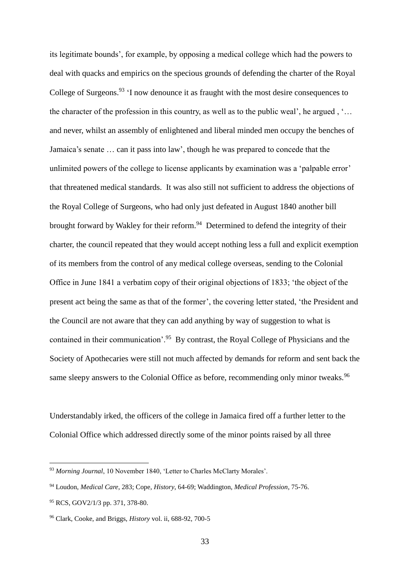its legitimate bounds', for example, by opposing a medical college which had the powers to deal with quacks and empirics on the specious grounds of defending the charter of the Royal College of Surgeons. $93$  'I now denounce it as fraught with the most desire consequences to the character of the profession in this country, as well as to the public weal', he argued , '… and never, whilst an assembly of enlightened and liberal minded men occupy the benches of Jamaica's senate … can it pass into law', though he was prepared to concede that the unlimited powers of the college to license applicants by examination was a 'palpable error' that threatened medical standards. It was also still not sufficient to address the objections of the Royal College of Surgeons, who had only just defeated in August 1840 another bill brought forward by Wakley for their reform.<sup>94</sup> Determined to defend the integrity of their charter, the council repeated that they would accept nothing less a full and explicit exemption of its members from the control of any medical college overseas, sending to the Colonial Office in June 1841 a verbatim copy of their original objections of 1833; 'the object of the present act being the same as that of the former', the covering letter stated, 'the President and the Council are not aware that they can add anything by way of suggestion to what is contained in their communication'.<sup>95</sup> By contrast, the Royal College of Physicians and the Society of Apothecaries were still not much affected by demands for reform and sent back the same sleepy answers to the Colonial Office as before, recommending only minor tweaks.<sup>96</sup>

Understandably irked, the officers of the college in Jamaica fired off a further letter to the Colonial Office which addressed directly some of the minor points raised by all three

<sup>93</sup> *Morning Journal*, 10 November 1840, 'Letter to Charles McClarty Morales'.

<sup>94</sup> Loudon, *Medical Care*, 283; Cope, *History*, 64-69; Waddington, *Medical Profession*, 75-76.

<sup>95</sup> RCS, GOV2/1/3 pp. 371, 378-80.

<sup>96</sup> Clark, Cooke, and Briggs, *History* vol. ii, 688-92, 700-5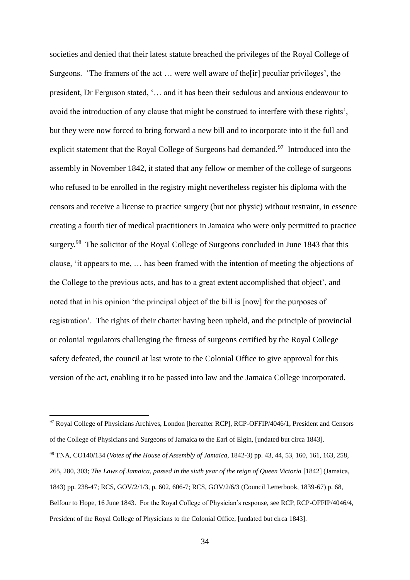societies and denied that their latest statute breached the privileges of the Royal College of Surgeons. 'The framers of the act … were well aware of the[ir] peculiar privileges', the president, Dr Ferguson stated, '… and it has been their sedulous and anxious endeavour to avoid the introduction of any clause that might be construed to interfere with these rights', but they were now forced to bring forward a new bill and to incorporate into it the full and explicit statement that the Royal College of Surgeons had demanded.<sup>97</sup> Introduced into the assembly in November 1842, it stated that any fellow or member of the college of surgeons who refused to be enrolled in the registry might nevertheless register his diploma with the censors and receive a license to practice surgery (but not physic) without restraint, in essence creating a fourth tier of medical practitioners in Jamaica who were only permitted to practice surgery.<sup>98</sup> The solicitor of the Royal College of Surgeons concluded in June 1843 that this clause, 'it appears to me, … has been framed with the intention of meeting the objections of the College to the previous acts, and has to a great extent accomplished that object', and noted that in his opinion 'the principal object of the bill is [now] for the purposes of registration'. The rights of their charter having been upheld, and the principle of provincial or colonial regulators challenging the fitness of surgeons certified by the Royal College safety defeated, the council at last wrote to the Colonial Office to give approval for this version of the act, enabling it to be passed into law and the Jamaica College incorporated.

<sup>&</sup>lt;sup>97</sup> Royal College of Physicians Archives, London [hereafter RCP], RCP-OFFIP/4046/1, President and Censors of the College of Physicians and Surgeons of Jamaica to the Earl of Elgin, [undated but circa 1843]. <sup>98</sup> TNA, CO140/134 (*Votes of the House of Assembly of Jamaica*, 1842-3) pp. 43, 44, 53, 160, 161, 163, 258, 265, 280, 303; *The Laws of Jamaica, passed in the sixth year of the reign of Queen Victoria* [1842] (Jamaica, 1843) pp. 238-47; RCS, GOV/2/1/3, p. 602, 606-7; RCS, GOV/2/6/3 (Council Letterbook, 1839-67) p. 68, Belfour to Hope, 16 June 1843. For the Royal College of Physician's response, see RCP, RCP-OFFIP/4046/4, President of the Royal College of Physicians to the Colonial Office, [undated but circa 1843].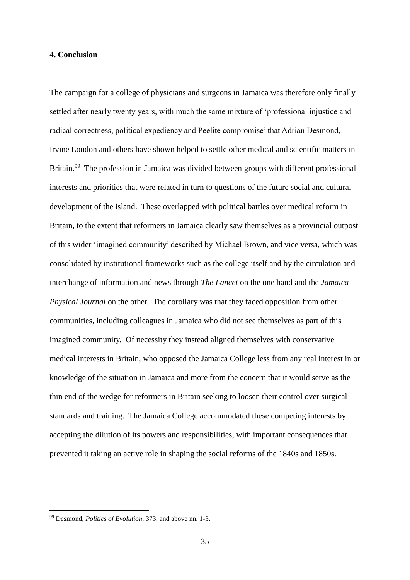## **4. Conclusion**

The campaign for a college of physicians and surgeons in Jamaica was therefore only finally settled after nearly twenty years, with much the same mixture of 'professional injustice and radical correctness, political expediency and Peelite compromise' that Adrian Desmond, Irvine Loudon and others have shown helped to settle other medical and scientific matters in Britain.<sup>99</sup> The profession in Jamaica was divided between groups with different professional interests and priorities that were related in turn to questions of the future social and cultural development of the island. These overlapped with political battles over medical reform in Britain, to the extent that reformers in Jamaica clearly saw themselves as a provincial outpost of this wider 'imagined community' described by Michael Brown, and vice versa, which was consolidated by institutional frameworks such as the college itself and by the circulation and interchange of information and news through *The Lancet* on the one hand and the *Jamaica Physical Journal* on the other. The corollary was that they faced opposition from other communities, including colleagues in Jamaica who did not see themselves as part of this imagined community. Of necessity they instead aligned themselves with conservative medical interests in Britain, who opposed the Jamaica College less from any real interest in or knowledge of the situation in Jamaica and more from the concern that it would serve as the thin end of the wedge for reformers in Britain seeking to loosen their control over surgical standards and training. The Jamaica College accommodated these competing interests by accepting the dilution of its powers and responsibilities, with important consequences that prevented it taking an active role in shaping the social reforms of the 1840s and 1850s.

<sup>99</sup> Desmond, *Politics of Evolution*, 373, and above nn. 1-3.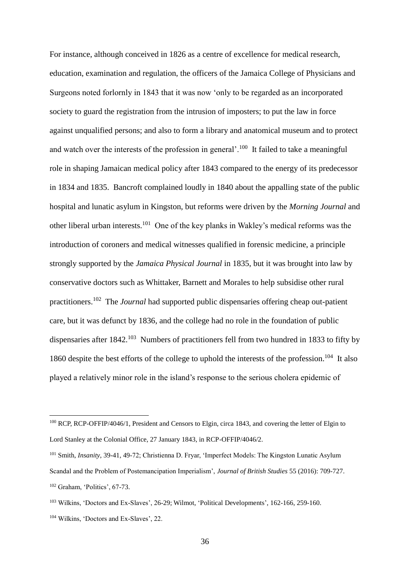<span id="page-35-0"></span>For instance, although conceived in 1826 as a centre of excellence for medical research, education, examination and regulation, the officers of the Jamaica College of Physicians and Surgeons noted forlornly in 1843 that it was now 'only to be regarded as an incorporated society to guard the registration from the intrusion of imposters; to put the law in force against unqualified persons; and also to form a library and anatomical museum and to protect and watch over the interests of the profession in general'.<sup>100</sup> It failed to take a meaningful role in shaping Jamaican medical policy after 1843 compared to the energy of its predecessor in 1834 and 1835. Bancroft complained loudly in 1840 about the appalling state of the public hospital and lunatic asylum in Kingston, but reforms were driven by the *Morning Journal* and other liberal urban interests.<sup>101</sup> One of the key planks in Wakley's medical reforms was the introduction of coroners and medical witnesses qualified in forensic medicine, a principle strongly supported by the *Jamaica Physical Journal* in 1835, but it was brought into law by conservative doctors such as Whittaker, Barnett and Morales to help subsidise other rural practitioners.<sup>102</sup> The *Journal* had supported public dispensaries offering cheap out-patient care, but it was defunct by 1836, and the college had no role in the foundation of public dispensaries after  $1842$ <sup>103</sup> Numbers of practitioners fell from two hundred in 1833 to fifty by 1860 despite the best efforts of the college to uphold the interests of the profession.<sup>104</sup> It also played a relatively minor role in the island's response to the serious cholera epidemic of

<sup>&</sup>lt;sup>100</sup> RCP, RCP-OFFIP/4046/1, President and Censors to Elgin, circa 1843, and covering the letter of Elgin to Lord Stanley at the Colonial Office, 27 January 1843, in RCP-OFFIP/4046/2.

<sup>101</sup> Smith, *Insanity*, 39-41, 49-72; Christienna D. Fryar, 'Imperfect Models: The Kingston Lunatic Asylum Scandal and the Problem of Postemancipation Imperialism', *Journal of British Studies* 55 (2016): 709-727. <sup>102</sup> Graham, 'Politics', 67-73.

<sup>103</sup> Wilkins, 'Doctors and Ex-Slaves', 26-29; Wilmot, 'Political Developments', 162-166, 259-160.

<sup>104</sup> Wilkins, 'Doctors and Ex-Slaves', 22.